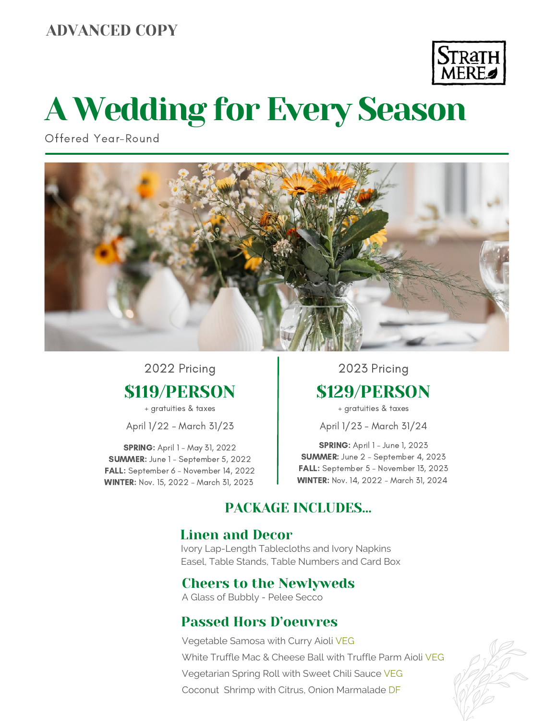## ADVANCED COPY



# A Wedding for Every Season

Offered Year-Round



## \$119/PERSON 2022 Pricing

+ gratuities & taxes

April 1/22 - March 31/23

**SPRING: April 1 - May 31, 2022** SUMMER: June 1 - September 5, 2022 FALL: September 6 - November 14, 2022 WINTER: Nov. 15, 2022 - March 31, 2023

\$129/PERSON 2023 Pricing

+ gratuities & taxes

April 1/23 - March 31/24

**SPRING:** April 1 - June 1, 2023 SUMMER: June 2 - September 4, 2023 FALL: September 5 - November 13, 2023 WINTER: Nov. 14, 2022 - March 31, 2024

## PACKAGE INCLUDES…

## Linen and Decor

Ivory Lap-Length Tablecloths and Ivory Napkins Easel, Table Stands, Table Numbers and Card Box

## Cheers to the Newlyweds

A Glass of Bubbly - Pelee Secco

## Passed Hors D'oeuvres

Vegetable Samosa with Curry Aioli VEG White Truffle Mac & Cheese Ball with Truffle Parm Aioli VEG Vegetarian Spring Roll with Sweet Chili Sauce VEG Coconut Shrimp with Citrus, Onion Marmalade DF